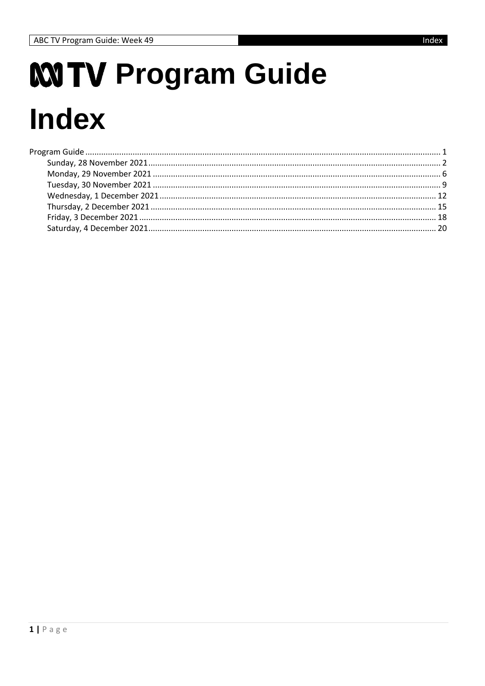# <span id="page-0-0"></span>MITV Program Guide **Index**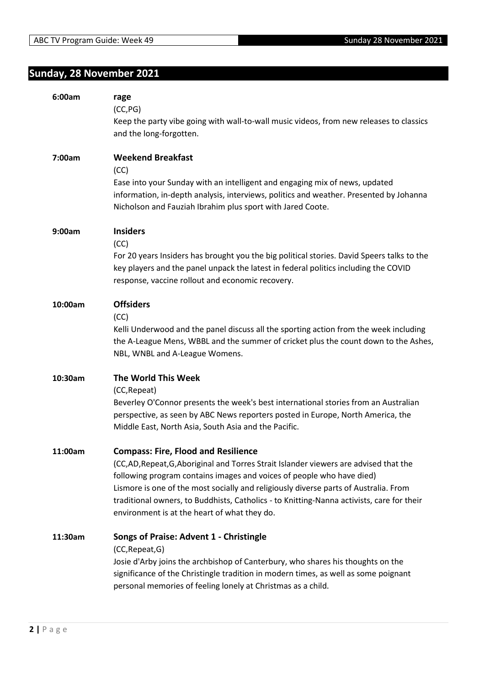## <span id="page-1-0"></span>**Sunday, 28 November 2021**

| 6:00am  | rage<br>(CC, PG)<br>Keep the party vibe going with wall-to-wall music videos, from new releases to classics<br>and the long-forgotten.                                                                                                                                                                                                                                                                                                         |
|---------|------------------------------------------------------------------------------------------------------------------------------------------------------------------------------------------------------------------------------------------------------------------------------------------------------------------------------------------------------------------------------------------------------------------------------------------------|
| 7:00am  | <b>Weekend Breakfast</b><br>(CC)<br>Ease into your Sunday with an intelligent and engaging mix of news, updated<br>information, in-depth analysis, interviews, politics and weather. Presented by Johanna<br>Nicholson and Fauziah Ibrahim plus sport with Jared Coote.                                                                                                                                                                        |
| 9:00am  | <b>Insiders</b><br>(CC)<br>For 20 years Insiders has brought you the big political stories. David Speers talks to the<br>key players and the panel unpack the latest in federal politics including the COVID<br>response, vaccine rollout and economic recovery.                                                                                                                                                                               |
| 10:00am | <b>Offsiders</b><br>(CC)<br>Kelli Underwood and the panel discuss all the sporting action from the week including<br>the A-League Mens, WBBL and the summer of cricket plus the count down to the Ashes,<br>NBL, WNBL and A-League Womens.                                                                                                                                                                                                     |
| 10:30am | The World This Week<br>(CC, Repeat)<br>Beverley O'Connor presents the week's best international stories from an Australian<br>perspective, as seen by ABC News reporters posted in Europe, North America, the<br>Middle East, North Asia, South Asia and the Pacific.                                                                                                                                                                          |
| 11:00am | <b>Compass: Fire, Flood and Resilience</b><br>(CC,AD,Repeat,G,Aboriginal and Torres Strait Islander viewers are advised that the<br>following program contains images and voices of people who have died)<br>Lismore is one of the most socially and religiously diverse parts of Australia. From<br>traditional owners, to Buddhists, Catholics - to Knitting-Nanna activists, care for their<br>environment is at the heart of what they do. |
| 11:30am | Songs of Praise: Advent 1 - Christingle<br>(CC, Repeat, G)<br>Josie d'Arby joins the archbishop of Canterbury, who shares his thoughts on the<br>significance of the Christingle tradition in modern times, as well as some poignant<br>personal memories of feeling lonely at Christmas as a child.                                                                                                                                           |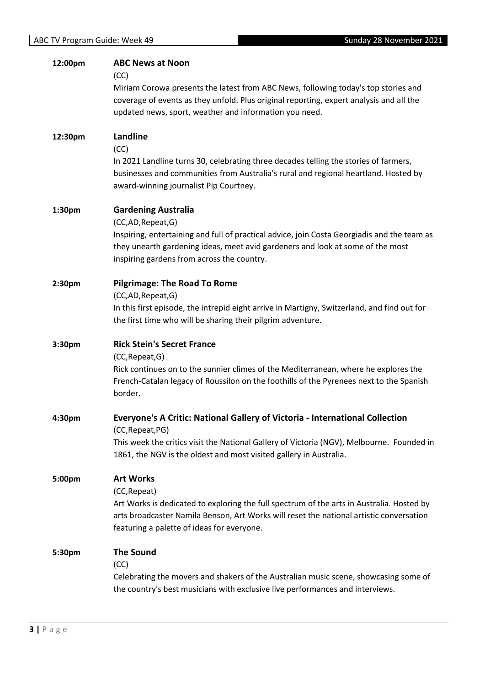| 12:00pm | <b>ABC News at Noon</b><br>(CC)<br>Miriam Corowa presents the latest from ABC News, following today's top stories and<br>coverage of events as they unfold. Plus original reporting, expert analysis and all the<br>updated news, sport, weather and information you need.    |
|---------|-------------------------------------------------------------------------------------------------------------------------------------------------------------------------------------------------------------------------------------------------------------------------------|
| 12:30pm | Landline<br>(CC)<br>In 2021 Landline turns 30, celebrating three decades telling the stories of farmers,<br>businesses and communities from Australia's rural and regional heartland. Hosted by<br>award-winning journalist Pip Courtney.                                     |
| 1:30pm  | <b>Gardening Australia</b><br>(CC,AD,Repeat,G)<br>Inspiring, entertaining and full of practical advice, join Costa Georgiadis and the team as<br>they unearth gardening ideas, meet avid gardeners and look at some of the most<br>inspiring gardens from across the country. |
| 2:30pm  | <b>Pilgrimage: The Road To Rome</b><br>(CC,AD,Repeat,G)<br>In this first episode, the intrepid eight arrive in Martigny, Switzerland, and find out for<br>the first time who will be sharing their pilgrim adventure.                                                         |
| 3:30pm  | <b>Rick Stein's Secret France</b><br>(CC, Repeat, G)<br>Rick continues on to the sunnier climes of the Mediterranean, where he explores the<br>French-Catalan legacy of Roussilon on the foothills of the Pyrenees next to the Spanish<br>border.                             |
| 4:30pm  | Everyone's A Critic: National Gallery of Victoria - International Collection<br>(CC, Repeat, PG)<br>This week the critics visit the National Gallery of Victoria (NGV), Melbourne. Founded in<br>1861, the NGV is the oldest and most visited gallery in Australia.           |
| 5:00pm  | <b>Art Works</b><br>(CC, Repeat)<br>Art Works is dedicated to exploring the full spectrum of the arts in Australia. Hosted by<br>arts broadcaster Namila Benson, Art Works will reset the national artistic conversation<br>featuring a palette of ideas for everyone.        |
| 5:30pm  | <b>The Sound</b><br>(CC)<br>Celebrating the movers and shakers of the Australian music scene, showcasing some of<br>the country's best musicians with exclusive live performances and interviews.                                                                             |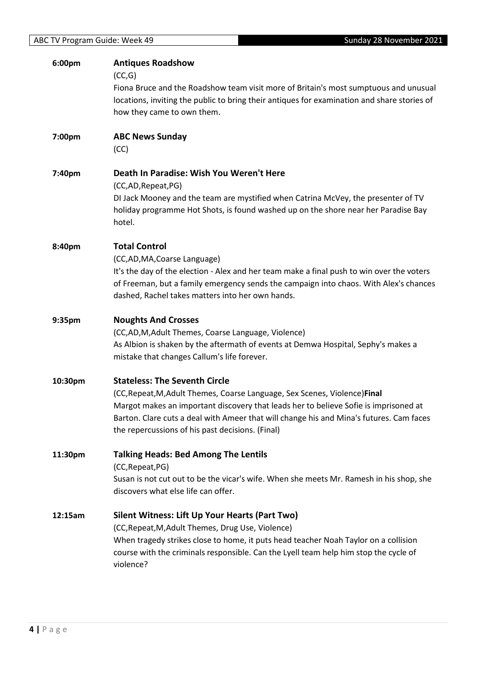| 6:00pm  | <b>Antiques Roadshow</b><br>(CC,G)<br>Fiona Bruce and the Roadshow team visit more of Britain's most sumptuous and unusual<br>locations, inviting the public to bring their antiques for examination and share stories of<br>how they came to own them.                                                                                                   |
|---------|-----------------------------------------------------------------------------------------------------------------------------------------------------------------------------------------------------------------------------------------------------------------------------------------------------------------------------------------------------------|
| 7:00pm  | <b>ABC News Sunday</b><br>(CC)                                                                                                                                                                                                                                                                                                                            |
| 7:40pm  | Death In Paradise: Wish You Weren't Here<br>(CC,AD,Repeat,PG)<br>DI Jack Mooney and the team are mystified when Catrina McVey, the presenter of TV<br>holiday programme Hot Shots, is found washed up on the shore near her Paradise Bay<br>hotel.                                                                                                        |
| 8:40pm  | <b>Total Control</b><br>(CC,AD,MA,Coarse Language)<br>It's the day of the election - Alex and her team make a final push to win over the voters<br>of Freeman, but a family emergency sends the campaign into chaos. With Alex's chances<br>dashed, Rachel takes matters into her own hands.                                                              |
| 9:35pm  | <b>Noughts And Crosses</b><br>(CC,AD,M,Adult Themes, Coarse Language, Violence)<br>As Albion is shaken by the aftermath of events at Demwa Hospital, Sephy's makes a<br>mistake that changes Callum's life forever.                                                                                                                                       |
| 10:30pm | <b>Stateless: The Seventh Circle</b><br>(CC, Repeat, M, Adult Themes, Coarse Language, Sex Scenes, Violence) Final<br>Margot makes an important discovery that leads her to believe Sofie is imprisoned at<br>Barton. Clare cuts a deal with Ameer that will change his and Mina's futures. Cam faces<br>the repercussions of his past decisions. (Final) |
| 11:30pm | <b>Talking Heads: Bed Among The Lentils</b><br>(CC, Repeat, PG)<br>Susan is not cut out to be the vicar's wife. When she meets Mr. Ramesh in his shop, she<br>discovers what else life can offer.                                                                                                                                                         |
| 12:15am | Silent Witness: Lift Up Your Hearts (Part Two)<br>(CC, Repeat, M, Adult Themes, Drug Use, Violence)<br>When tragedy strikes close to home, it puts head teacher Noah Taylor on a collision<br>course with the criminals responsible. Can the Lyell team help him stop the cycle of<br>violence?                                                           |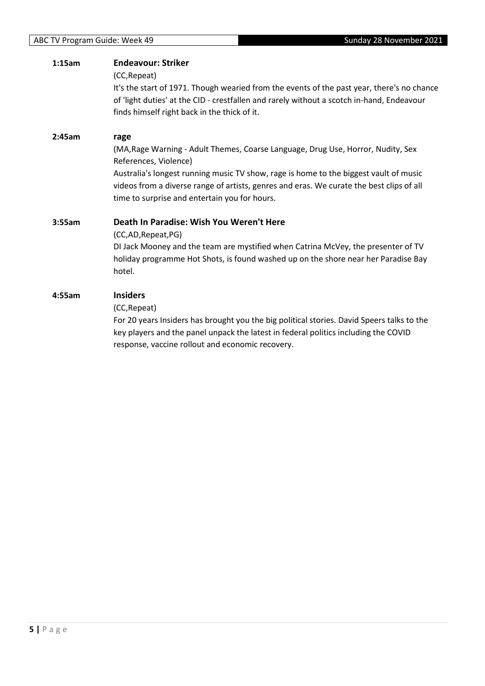| 1:15am | <b>Endeavour: Striker</b><br>(CC, Repeat)<br>It's the start of 1971. Though wearied from the events of the past year, there's no chance<br>of 'light duties' at the CID - crestfallen and rarely without a scotch in-hand, Endeavour<br>finds himself right back in the thick of it.                                                                    |
|--------|---------------------------------------------------------------------------------------------------------------------------------------------------------------------------------------------------------------------------------------------------------------------------------------------------------------------------------------------------------|
| 2:45am | rage<br>(MA, Rage Warning - Adult Themes, Coarse Language, Drug Use, Horror, Nudity, Sex<br>References, Violence)<br>Australia's longest running music TV show, rage is home to the biggest vault of music<br>videos from a diverse range of artists, genres and eras. We curate the best clips of all<br>time to surprise and entertain you for hours. |
| 3:55am | Death In Paradise: Wish You Weren't Here<br>(CC,AD, Repeat, PG)<br>DI Jack Mooney and the team are mystified when Catrina McVey, the presenter of TV<br>holiday programme Hot Shots, is found washed up on the shore near her Paradise Bay<br>hotel.                                                                                                    |
| 4:55am | <b>Insiders</b><br>(CC, Repeat)<br>For 20 years Insiders has brought you the big political stories. David Speers talks to the<br>key players and the panel unpack the latest in federal politics including the COVID<br>response, vaccine rollout and economic recovery.                                                                                |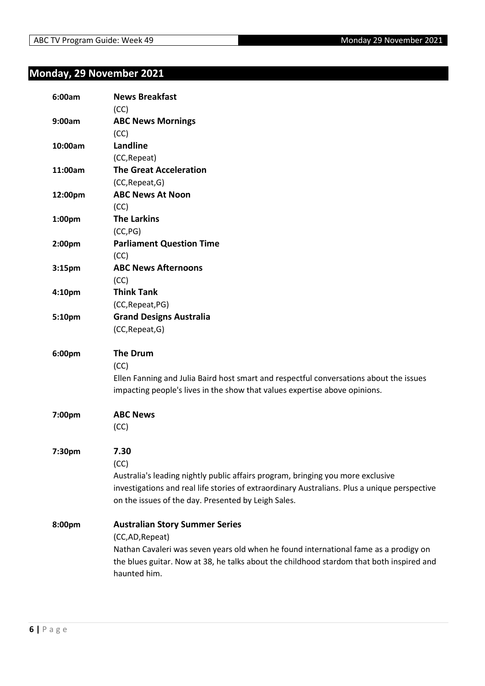## <span id="page-5-0"></span>**Monday, 29 November 2021**

| 6:00am             | <b>News Breakfast</b><br>(CC)                                                                                                                                        |
|--------------------|----------------------------------------------------------------------------------------------------------------------------------------------------------------------|
| 9:00am             | <b>ABC News Mornings</b>                                                                                                                                             |
|                    | (CC)                                                                                                                                                                 |
| 10:00am            | Landline                                                                                                                                                             |
|                    | (CC, Repeat)                                                                                                                                                         |
| 11:00am            | <b>The Great Acceleration</b>                                                                                                                                        |
|                    | (CC, Repeat, G)                                                                                                                                                      |
| 12:00pm            | <b>ABC News At Noon</b>                                                                                                                                              |
|                    | (CC)                                                                                                                                                                 |
| 1:00pm             | <b>The Larkins</b>                                                                                                                                                   |
|                    | (CC, PG)                                                                                                                                                             |
| 2:00pm             | <b>Parliament Question Time</b>                                                                                                                                      |
|                    | (CC)                                                                                                                                                                 |
| 3:15 <sub>pm</sub> | <b>ABC News Afternoons</b>                                                                                                                                           |
|                    | (CC)                                                                                                                                                                 |
| 4:10 <sub>pm</sub> | <b>Think Tank</b>                                                                                                                                                    |
|                    | (CC, Repeat, PG)                                                                                                                                                     |
| 5:10pm             | <b>Grand Designs Australia</b>                                                                                                                                       |
|                    | (CC, Repeat, G)                                                                                                                                                      |
| 6:00pm             | <b>The Drum</b>                                                                                                                                                      |
|                    | (CC)                                                                                                                                                                 |
|                    | Ellen Fanning and Julia Baird host smart and respectful conversations about the issues<br>impacting people's lives in the show that values expertise above opinions. |
| 7:00pm             | <b>ABC News</b>                                                                                                                                                      |
|                    | (CC)                                                                                                                                                                 |
|                    |                                                                                                                                                                      |
| 7:30pm             | 7.30                                                                                                                                                                 |
|                    | (CC)                                                                                                                                                                 |
|                    | Australia's leading nightly public affairs program, bringing you more exclusive                                                                                      |
|                    | investigations and real life stories of extraordinary Australians. Plus a unique perspective                                                                         |
|                    | on the issues of the day. Presented by Leigh Sales.                                                                                                                  |
| 8:00pm             | <b>Australian Story Summer Series</b>                                                                                                                                |
|                    | (CC,AD,Repeat)                                                                                                                                                       |
|                    | Nathan Cavaleri was seven years old when he found international fame as a prodigy on                                                                                 |
|                    | the blues guitar. Now at 38, he talks about the childhood stardom that both inspired and                                                                             |
|                    | haunted him.                                                                                                                                                         |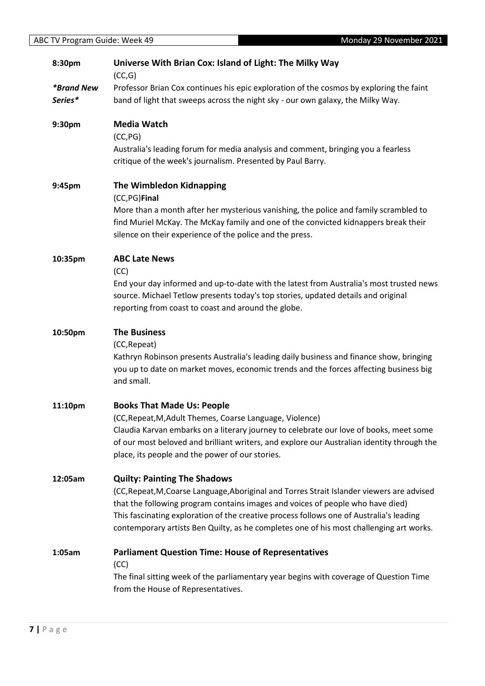| 8:30pm                              | Universe With Brian Cox: Island of Light: The Milky Way<br>(CC,G)                                                                                                                                                                                                                                                                                                                                         |
|-------------------------------------|-----------------------------------------------------------------------------------------------------------------------------------------------------------------------------------------------------------------------------------------------------------------------------------------------------------------------------------------------------------------------------------------------------------|
| <i><b>*Brand New</b></i><br>Series* | Professor Brian Cox continues his epic exploration of the cosmos by exploring the faint<br>band of light that sweeps across the night sky - our own galaxy, the Milky Way.                                                                                                                                                                                                                                |
| 9:30pm                              | <b>Media Watch</b><br>(CC, PG)<br>Australia's leading forum for media analysis and comment, bringing you a fearless<br>critique of the week's journalism. Presented by Paul Barry.                                                                                                                                                                                                                        |
| 9:45pm                              | <b>The Wimbledon Kidnapping</b><br>(CC,PG)Final<br>More than a month after her mysterious vanishing, the police and family scrambled to<br>find Muriel McKay. The McKay family and one of the convicted kidnappers break their<br>silence on their experience of the police and the press.                                                                                                                |
| 10:35pm                             | <b>ABC Late News</b><br>(CC)<br>End your day informed and up-to-date with the latest from Australia's most trusted news<br>source. Michael Tetlow presents today's top stories, updated details and original<br>reporting from coast to coast and around the globe.                                                                                                                                       |
| 10:50pm                             | <b>The Business</b><br>(CC, Repeat)<br>Kathryn Robinson presents Australia's leading daily business and finance show, bringing<br>you up to date on market moves, economic trends and the forces affecting business big<br>and small.                                                                                                                                                                     |
| 11:10pm                             | <b>Books That Made Us: People</b><br>(CC, Repeat, M, Adult Themes, Coarse Language, Violence)<br>Claudia Karvan embarks on a literary journey to celebrate our love of books, meet some<br>of our most beloved and brilliant writers, and explore our Australian identity through the<br>place, its people and the power of our stories.                                                                  |
| 12:05am                             | <b>Quilty: Painting The Shadows</b><br>(CC, Repeat, M, Coarse Language, Aboriginal and Torres Strait Islander viewers are advised<br>that the following program contains images and voices of people who have died)<br>This fascinating exploration of the creative process follows one of Australia's leading<br>contemporary artists Ben Quilty, as he completes one of his most challenging art works. |
| 1:05am                              | <b>Parliament Question Time: House of Representatives</b><br>(CC)<br>The final sitting week of the parliamentary year begins with coverage of Question Time<br>from the House of Representatives.                                                                                                                                                                                                         |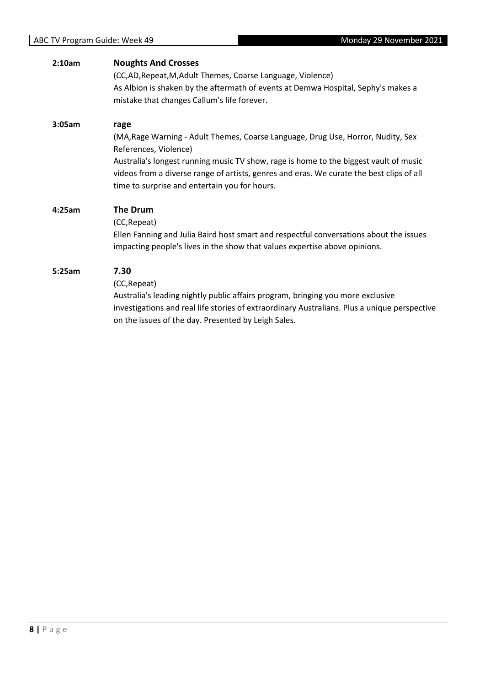| 2:10am | <b>Noughts And Crosses</b><br>(CC,AD, Repeat, M, Adult Themes, Coarse Language, Violence)<br>As Albion is shaken by the aftermath of events at Demwa Hospital, Sephy's makes a<br>mistake that changes Callum's life forever.                                                                                                                           |
|--------|---------------------------------------------------------------------------------------------------------------------------------------------------------------------------------------------------------------------------------------------------------------------------------------------------------------------------------------------------------|
| 3:05am | rage<br>(MA, Rage Warning - Adult Themes, Coarse Language, Drug Use, Horror, Nudity, Sex<br>References, Violence)<br>Australia's longest running music TV show, rage is home to the biggest vault of music<br>videos from a diverse range of artists, genres and eras. We curate the best clips of all<br>time to surprise and entertain you for hours. |
| 4:25am | <b>The Drum</b><br>(CC, Repeat)<br>Ellen Fanning and Julia Baird host smart and respectful conversations about the issues<br>impacting people's lives in the show that values expertise above opinions.                                                                                                                                                 |
| 5:25am | 7.30<br>(CC, Repeat)<br>Australia's leading nightly public affairs program, bringing you more exclusive<br>investigations and real life stories of extraordinary Australians. Plus a unique perspective<br>on the issues of the day. Presented by Leigh Sales.                                                                                          |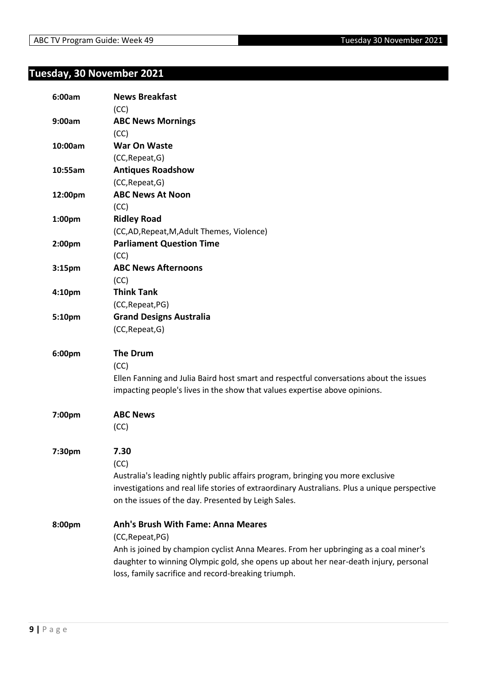## <span id="page-8-0"></span>**Tuesday, 30 November 2021**

| 6:00am             | <b>News Breakfast</b><br>(CC)                                                                |
|--------------------|----------------------------------------------------------------------------------------------|
| 9:00am             | <b>ABC News Mornings</b>                                                                     |
|                    | (CC)                                                                                         |
| 10:00am            | <b>War On Waste</b>                                                                          |
|                    | (CC, Repeat, G)                                                                              |
| 10:55am            | <b>Antiques Roadshow</b>                                                                     |
|                    | (CC, Repeat, G)                                                                              |
| 12:00pm            | <b>ABC News At Noon</b>                                                                      |
|                    | (CC)                                                                                         |
| 1:00pm             | <b>Ridley Road</b>                                                                           |
|                    | (CC,AD, Repeat, M, Adult Themes, Violence)                                                   |
| 2:00 <sub>pm</sub> | <b>Parliament Question Time</b>                                                              |
|                    | (CC)                                                                                         |
| 3:15 <sub>pm</sub> | <b>ABC News Afternoons</b>                                                                   |
|                    | (CC)                                                                                         |
| 4:10 <sub>pm</sub> | <b>Think Tank</b>                                                                            |
|                    | (CC, Repeat, PG)                                                                             |
| 5:10pm             | <b>Grand Designs Australia</b>                                                               |
|                    | (CC, Repeat, G)                                                                              |
| 6:00pm             | <b>The Drum</b>                                                                              |
|                    | (CC)                                                                                         |
|                    | Ellen Fanning and Julia Baird host smart and respectful conversations about the issues       |
|                    | impacting people's lives in the show that values expertise above opinions.                   |
| 7:00pm             | <b>ABC News</b>                                                                              |
|                    | (CC)                                                                                         |
| 7:30pm             | 7.30                                                                                         |
|                    | (CC)                                                                                         |
|                    | Australia's leading nightly public affairs program, bringing you more exclusive              |
|                    | investigations and real life stories of extraordinary Australians. Plus a unique perspective |
|                    | on the issues of the day. Presented by Leigh Sales.                                          |
| 8:00pm             | <b>Anh's Brush With Fame: Anna Meares</b>                                                    |
|                    | (CC, Repeat, PG)                                                                             |
|                    | Anh is joined by champion cyclist Anna Meares. From her upbringing as a coal miner's         |
|                    | daughter to winning Olympic gold, she opens up about her near-death injury, personal         |
|                    | loss, family sacrifice and record-breaking triumph.                                          |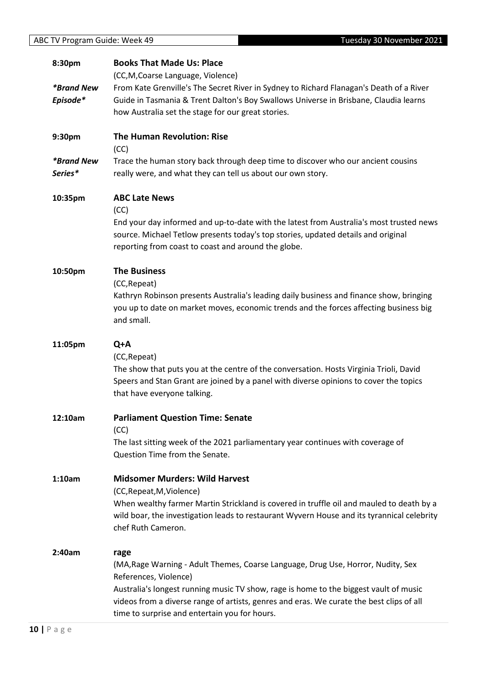References, Violence)

time to surprise and entertain you for hours.

| Tuesday 30 November 2021<br>ABC TV Program Guide: Week 49 |                          |                                                                                            |
|-----------------------------------------------------------|--------------------------|--------------------------------------------------------------------------------------------|
|                                                           |                          |                                                                                            |
|                                                           | 8:30pm                   | <b>Books That Made Us: Place</b>                                                           |
|                                                           |                          | (CC, M, Coarse Language, Violence)                                                         |
|                                                           | <i><b>*Brand New</b></i> | From Kate Grenville's The Secret River in Sydney to Richard Flanagan's Death of a River    |
|                                                           | Episode*                 | Guide in Tasmania & Trent Dalton's Boy Swallows Universe in Brisbane, Claudia learns       |
|                                                           |                          | how Australia set the stage for our great stories.                                         |
|                                                           | 9:30pm                   | The Human Revolution: Rise                                                                 |
|                                                           |                          | (CC)                                                                                       |
|                                                           | <i><b>*Brand New</b></i> | Trace the human story back through deep time to discover who our ancient cousins           |
|                                                           | Series*                  | really were, and what they can tell us about our own story.                                |
|                                                           | 10:35pm                  | <b>ABC Late News</b>                                                                       |
|                                                           |                          | (CC)                                                                                       |
|                                                           |                          | End your day informed and up-to-date with the latest from Australia's most trusted news    |
|                                                           |                          | source. Michael Tetlow presents today's top stories, updated details and original          |
|                                                           |                          | reporting from coast to coast and around the globe.                                        |
|                                                           | 10:50pm                  | <b>The Business</b>                                                                        |
|                                                           |                          | (CC, Repeat)                                                                               |
|                                                           |                          | Kathryn Robinson presents Australia's leading daily business and finance show, bringing    |
|                                                           |                          | you up to date on market moves, economic trends and the forces affecting business big      |
|                                                           |                          | and small.                                                                                 |
|                                                           | 11:05pm                  | Q+A                                                                                        |
|                                                           |                          | (CC, Repeat)                                                                               |
|                                                           |                          | The show that puts you at the centre of the conversation. Hosts Virginia Trioli, David     |
|                                                           |                          | Speers and Stan Grant are joined by a panel with diverse opinions to cover the topics      |
|                                                           |                          | that have everyone talking.                                                                |
|                                                           | 12:10am                  | <b>Parliament Question Time: Senate</b>                                                    |
|                                                           |                          | (CC)                                                                                       |
|                                                           |                          | The last sitting week of the 2021 parliamentary year continues with coverage of            |
|                                                           |                          | Question Time from the Senate.                                                             |
|                                                           | 1:10am                   | <b>Midsomer Murders: Wild Harvest</b>                                                      |
|                                                           |                          | (CC, Repeat, M, Violence)                                                                  |
|                                                           |                          | When wealthy farmer Martin Strickland is covered in truffle oil and mauled to death by a   |
|                                                           |                          | wild boar, the investigation leads to restaurant Wyvern House and its tyrannical celebrity |
|                                                           |                          | chef Ruth Cameron.                                                                         |
|                                                           | 2:40am                   |                                                                                            |
|                                                           |                          | rage<br>(MA, Rage Warning - Adult Themes, Coarse Language, Drug Use, Horror, Nudity, Sex   |
|                                                           |                          |                                                                                            |

Australia's longest running music TV show, rage is home to the biggest vault of music videos from a diverse range of artists, genres and eras. We curate the best clips of all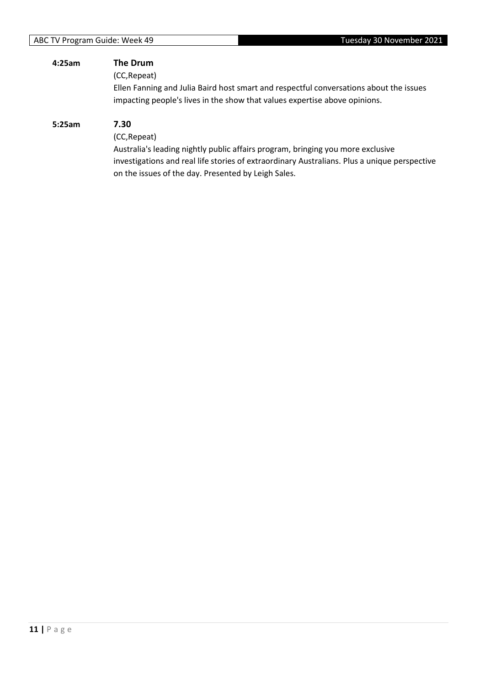| 4:25am | The Drum<br>(CC, Repeat)<br>Ellen Fanning and Julia Baird host smart and respectful conversations about the issues<br>impacting people's lives in the show that values expertise above opinions.                                                               |
|--------|----------------------------------------------------------------------------------------------------------------------------------------------------------------------------------------------------------------------------------------------------------------|
| 5:25am | 7.30<br>(CC, Repeat)<br>Australia's leading nightly public affairs program, bringing you more exclusive<br>investigations and real life stories of extraordinary Australians. Plus a unique perspective<br>on the issues of the day. Presented by Leigh Sales. |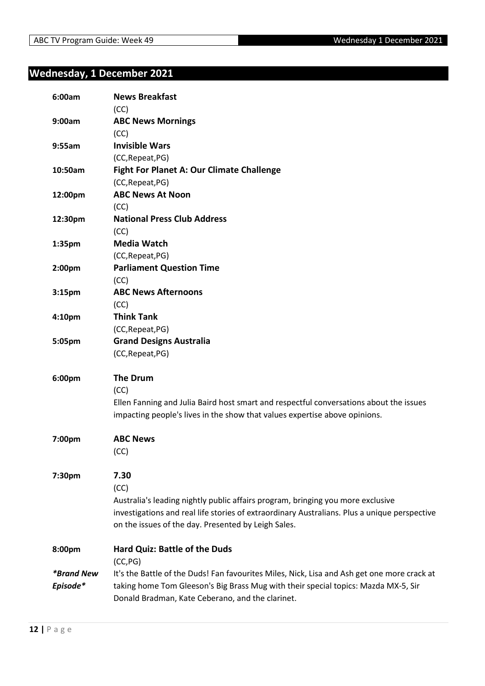## <span id="page-11-0"></span>**Wednesday, 1 December 2021**

| 6:00am                               | <b>News Breakfast</b><br>(CC)                                                                                                                                                                                                                          |
|--------------------------------------|--------------------------------------------------------------------------------------------------------------------------------------------------------------------------------------------------------------------------------------------------------|
| 9:00am                               | <b>ABC News Mornings</b><br>(CC)                                                                                                                                                                                                                       |
| 9:55am                               | <b>Invisible Wars</b><br>(CC, Repeat, PG)                                                                                                                                                                                                              |
| 10:50am                              | <b>Fight For Planet A: Our Climate Challenge</b><br>(CC, Repeat, PG)                                                                                                                                                                                   |
| 12:00pm                              | <b>ABC News At Noon</b><br>(CC)                                                                                                                                                                                                                        |
| 12:30pm                              | <b>National Press Club Address</b><br>(CC)                                                                                                                                                                                                             |
| 1:35pm                               | <b>Media Watch</b><br>(CC, Repeat, PG)                                                                                                                                                                                                                 |
| 2:00pm                               | <b>Parliament Question Time</b><br>(CC)                                                                                                                                                                                                                |
| 3:15 <sub>pm</sub>                   | <b>ABC News Afternoons</b><br>(CC)                                                                                                                                                                                                                     |
| 4:10pm                               | <b>Think Tank</b><br>(CC, Repeat, PG)                                                                                                                                                                                                                  |
| 5:05pm                               | <b>Grand Designs Australia</b><br>(CC, Repeat, PG)                                                                                                                                                                                                     |
| 6:00pm                               | <b>The Drum</b><br>(CC)<br>Ellen Fanning and Julia Baird host smart and respectful conversations about the issues<br>impacting people's lives in the show that values expertise above opinions.                                                        |
| 7:00pm                               | <b>ABC News</b><br>(CC)                                                                                                                                                                                                                                |
| 7:30pm                               | 7.30<br>(CC)<br>Australia's leading nightly public affairs program, bringing you more exclusive<br>investigations and real life stories of extraordinary Australians. Plus a unique perspective<br>on the issues of the day. Presented by Leigh Sales. |
| 8:00pm                               | Hard Quiz: Battle of the Duds<br>(CC, PG)                                                                                                                                                                                                              |
| <i><b>*Brand New</b></i><br>Episode* | It's the Battle of the Duds! Fan favourites Miles, Nick, Lisa and Ash get one more crack at<br>taking home Tom Gleeson's Big Brass Mug with their special topics: Mazda MX-5, Sir<br>Donald Bradman, Kate Ceberano, and the clarinet.                  |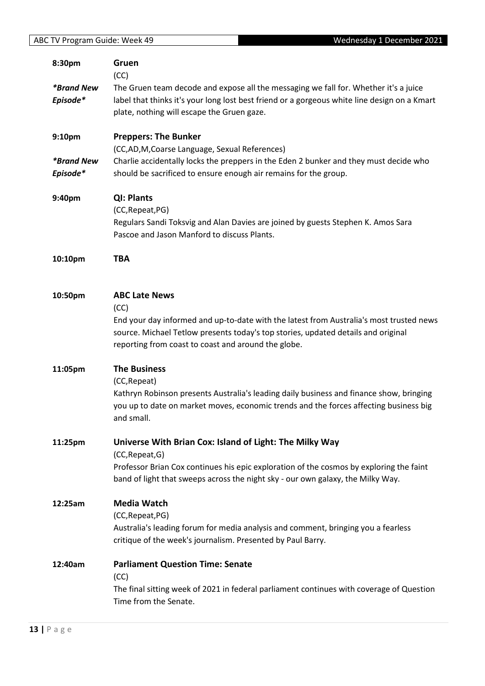| <b>ABC TV Program Guide: Week 49</b><br>Wednesday 1 December 2021 |                                                                                              |  |
|-------------------------------------------------------------------|----------------------------------------------------------------------------------------------|--|
| 8:30pm                                                            | Gruen                                                                                        |  |
|                                                                   | (CC)                                                                                         |  |
| <i><b>*Brand New</b></i>                                          | The Gruen team decode and expose all the messaging we fall for. Whether it's a juice         |  |
| Episode*                                                          | label that thinks it's your long lost best friend or a gorgeous white line design on a Kmart |  |
|                                                                   | plate, nothing will escape the Gruen gaze.                                                   |  |
|                                                                   |                                                                                              |  |
| 9:10pm                                                            | <b>Preppers: The Bunker</b>                                                                  |  |
|                                                                   | (CC,AD,M,Coarse Language, Sexual References)                                                 |  |
| <i><b>*Brand New</b></i>                                          | Charlie accidentally locks the preppers in the Eden 2 bunker and they must decide who        |  |
| Episode*                                                          | should be sacrificed to ensure enough air remains for the group.                             |  |
| 9:40pm                                                            | QI: Plants                                                                                   |  |
|                                                                   | (CC, Repeat, PG)                                                                             |  |
|                                                                   | Regulars Sandi Toksvig and Alan Davies are joined by guests Stephen K. Amos Sara             |  |
|                                                                   | Pascoe and Jason Manford to discuss Plants.                                                  |  |
| 10:10pm                                                           | <b>TBA</b>                                                                                   |  |
|                                                                   |                                                                                              |  |
|                                                                   | <b>ABC Late News</b>                                                                         |  |
| 10:50pm                                                           | (CC)                                                                                         |  |
|                                                                   | End your day informed and up-to-date with the latest from Australia's most trusted news      |  |
|                                                                   | source. Michael Tetlow presents today's top stories, updated details and original            |  |
|                                                                   | reporting from coast to coast and around the globe.                                          |  |
|                                                                   |                                                                                              |  |
| 11:05pm                                                           | <b>The Business</b>                                                                          |  |
|                                                                   | (CC, Repeat)                                                                                 |  |
|                                                                   | Kathryn Robinson presents Australia's leading daily business and finance show, bringing      |  |
|                                                                   | you up to date on market moves, economic trends and the forces affecting business big        |  |
|                                                                   | and small.                                                                                   |  |
| 11:25pm                                                           | Universe With Brian Cox: Island of Light: The Milky Way                                      |  |
|                                                                   | (CC, Repeat, G)                                                                              |  |
|                                                                   | Professor Brian Cox continues his epic exploration of the cosmos by exploring the faint      |  |
|                                                                   | band of light that sweeps across the night sky - our own galaxy, the Milky Way.              |  |
| 12:25am                                                           | <b>Media Watch</b>                                                                           |  |
|                                                                   | (CC, Repeat, PG)                                                                             |  |
|                                                                   | Australia's leading forum for media analysis and comment, bringing you a fearless            |  |
|                                                                   | critique of the week's journalism. Presented by Paul Barry.                                  |  |
| 12:40am                                                           | <b>Parliament Question Time: Senate</b>                                                      |  |
|                                                                   | (CC)                                                                                         |  |
|                                                                   | The final sitting week of 2021 in federal parliament continues with coverage of Question     |  |
|                                                                   | Time from the Senate.                                                                        |  |
|                                                                   |                                                                                              |  |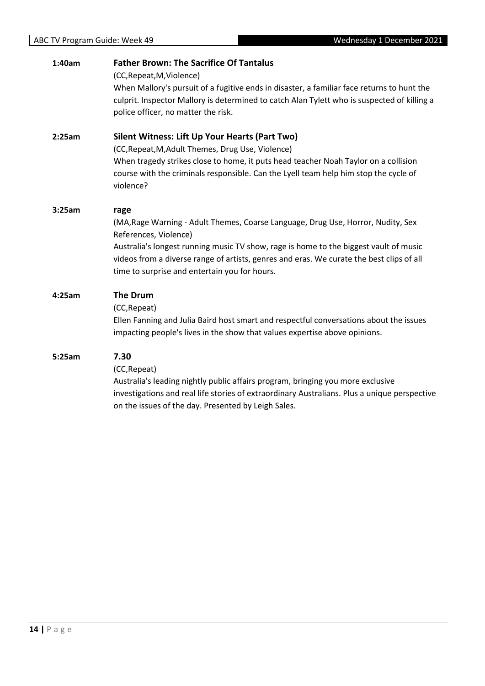#### **1:40am Father Brown: The Sacrifice Of Tantalus**

(CC,Repeat,M,Violence)

When Mallory's pursuit of a fugitive ends in disaster, a familiar face returns to hunt the culprit. Inspector Mallory is determined to catch Alan Tylett who is suspected of killing a police officer, no matter the risk.

#### **2:25am Silent Witness: Lift Up Your Hearts (Part Two)**

(CC,Repeat,M,Adult Themes, Drug Use, Violence) When tragedy strikes close to home, it puts head teacher Noah Taylor on a collision course with the criminals responsible. Can the Lyell team help him stop the cycle of violence?

#### **3:25am rage** (MA,Rage Warning - Adult Themes, Coarse Language, Drug Use, Horror, Nudity, Sex References, Violence) Australia's longest running music TV show, rage is home to the biggest vault of music videos from a diverse range of artists, genres and eras. We curate the best clips of all time to surprise and entertain you for hours.

### **4:25am The Drum**

(CC,Repeat)

Ellen Fanning and Julia Baird host smart and respectful conversations about the issues impacting people's lives in the show that values expertise above opinions.

#### **5:25am 7.30**

(CC,Repeat)

Australia's leading nightly public affairs program, bringing you more exclusive investigations and real life stories of extraordinary Australians. Plus a unique perspective on the issues of the day. Presented by Leigh Sales.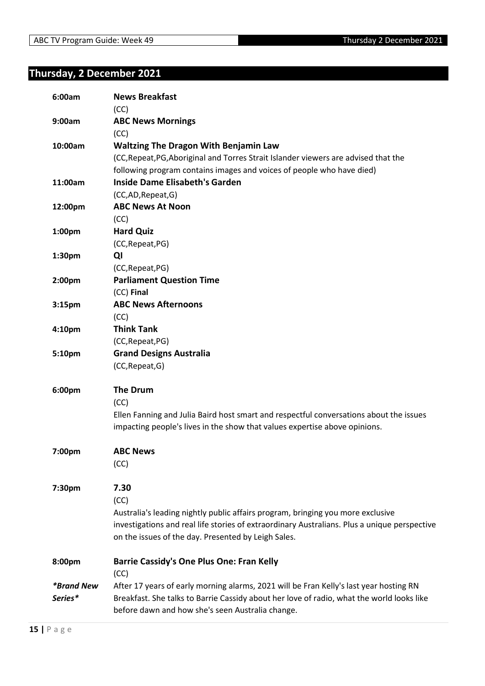## <span id="page-14-0"></span>**Thursday, 2 December 2021**

| 6:00am                   | <b>News Breakfast</b><br>(CC)                                                                |
|--------------------------|----------------------------------------------------------------------------------------------|
| 9:00am                   | <b>ABC News Mornings</b>                                                                     |
|                          | (CC)                                                                                         |
| 10:00am                  | <b>Waltzing The Dragon With Benjamin Law</b>                                                 |
|                          | (CC, Repeat, PG, Aboriginal and Torres Strait Islander viewers are advised that the          |
|                          | following program contains images and voices of people who have died)                        |
| 11:00am                  | <b>Inside Dame Elisabeth's Garden</b>                                                        |
|                          | (CC,AD,Repeat,G)                                                                             |
| 12:00pm                  | <b>ABC News At Noon</b>                                                                      |
|                          | (CC)                                                                                         |
| 1:00pm                   | <b>Hard Quiz</b>                                                                             |
|                          | (CC, Repeat, PG)                                                                             |
| 1:30pm                   | QI                                                                                           |
|                          | (CC, Repeat, PG)                                                                             |
| 2:00pm                   | <b>Parliament Question Time</b>                                                              |
|                          | (CC) Final                                                                                   |
| 3:15pm                   | <b>ABC News Afternoons</b>                                                                   |
|                          | (CC)                                                                                         |
| 4:10 <sub>pm</sub>       | <b>Think Tank</b>                                                                            |
|                          | (CC, Repeat, PG)                                                                             |
| 5:10pm                   | <b>Grand Designs Australia</b>                                                               |
|                          | (CC, Repeat, G)                                                                              |
| 6:00pm                   | <b>The Drum</b>                                                                              |
|                          | (CC)                                                                                         |
|                          | Ellen Fanning and Julia Baird host smart and respectful conversations about the issues       |
|                          | impacting people's lives in the show that values expertise above opinions.                   |
| 7:00pm                   | <b>ABC News</b>                                                                              |
|                          | (CC)                                                                                         |
|                          |                                                                                              |
| 7:30pm                   | 7.30                                                                                         |
|                          | (CC)                                                                                         |
|                          | Australia's leading nightly public affairs program, bringing you more exclusive              |
|                          | investigations and real life stories of extraordinary Australians. Plus a unique perspective |
|                          | on the issues of the day. Presented by Leigh Sales.                                          |
| 8:00pm                   | <b>Barrie Cassidy's One Plus One: Fran Kelly</b>                                             |
|                          | (CC)                                                                                         |
| <i><b>*Brand New</b></i> | After 17 years of early morning alarms, 2021 will be Fran Kelly's last year hosting RN       |
| Series*                  | Breakfast. She talks to Barrie Cassidy about her love of radio, what the world looks like    |
|                          | before dawn and how she's seen Australia change.                                             |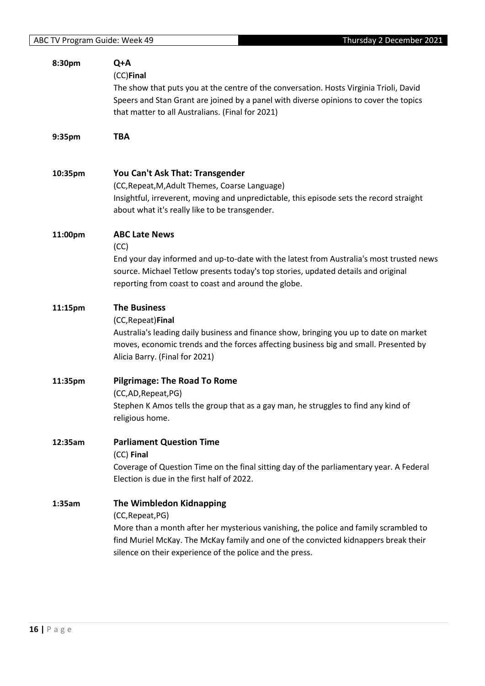| 8:30pm  | Q+A<br>(CC)Final<br>The show that puts you at the centre of the conversation. Hosts Virginia Trioli, David<br>Speers and Stan Grant are joined by a panel with diverse opinions to cover the topics<br>that matter to all Australians. (Final for 2021)                                 |
|---------|-----------------------------------------------------------------------------------------------------------------------------------------------------------------------------------------------------------------------------------------------------------------------------------------|
| 9:35pm  | <b>TBA</b>                                                                                                                                                                                                                                                                              |
| 10:35pm | You Can't Ask That: Transgender<br>(CC, Repeat, M, Adult Themes, Coarse Language)<br>Insightful, irreverent, moving and unpredictable, this episode sets the record straight<br>about what it's really like to be transgender.                                                          |
| 11:00pm | <b>ABC Late News</b><br>(CC)<br>End your day informed and up-to-date with the latest from Australia's most trusted news<br>source. Michael Tetlow presents today's top stories, updated details and original<br>reporting from coast to coast and around the globe.                     |
| 11:15pm | <b>The Business</b><br>(CC, Repeat) Final<br>Australia's leading daily business and finance show, bringing you up to date on market<br>moves, economic trends and the forces affecting business big and small. Presented by<br>Alicia Barry. (Final for 2021)                           |
| 11:35pm | <b>Pilgrimage: The Road To Rome</b><br>(CC,AD, Repeat, PG)<br>Stephen K Amos tells the group that as a gay man, he struggles to find any kind of<br>religious home.                                                                                                                     |
| 12:35am | <b>Parliament Question Time</b><br>(CC) Final<br>Coverage of Question Time on the final sitting day of the parliamentary year. A Federal<br>Election is due in the first half of 2022.                                                                                                  |
| 1:35am  | The Wimbledon Kidnapping<br>(CC, Repeat, PG)<br>More than a month after her mysterious vanishing, the police and family scrambled to<br>find Muriel McKay. The McKay family and one of the convicted kidnappers break their<br>silence on their experience of the police and the press. |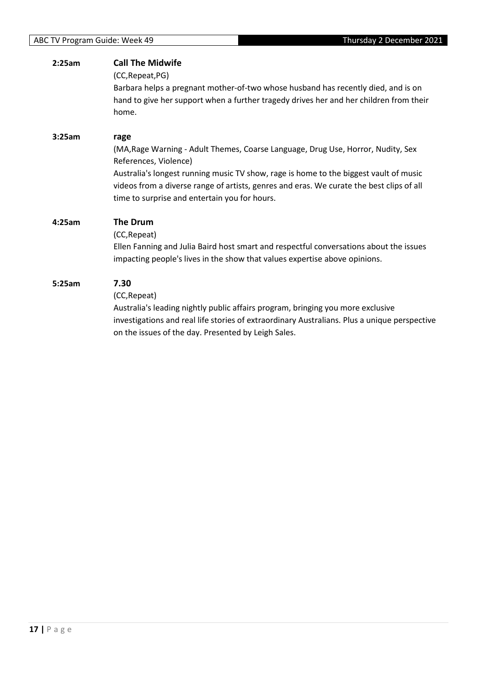| 2:25am | <b>Call The Midwife</b><br>(CC, Repeat, PG)<br>Barbara helps a pregnant mother-of-two whose husband has recently died, and is on<br>hand to give her support when a further tragedy drives her and her children from their<br>home.                                                                                                                     |
|--------|---------------------------------------------------------------------------------------------------------------------------------------------------------------------------------------------------------------------------------------------------------------------------------------------------------------------------------------------------------|
| 3:25am | rage<br>(MA, Rage Warning - Adult Themes, Coarse Language, Drug Use, Horror, Nudity, Sex<br>References, Violence)<br>Australia's longest running music TV show, rage is home to the biggest vault of music<br>videos from a diverse range of artists, genres and eras. We curate the best clips of all<br>time to surprise and entertain you for hours. |
| 4:25am | The Drum<br>(CC, Repeat)<br>Ellen Fanning and Julia Baird host smart and respectful conversations about the issues<br>impacting people's lives in the show that values expertise above opinions.                                                                                                                                                        |
| 5:25am | 7.30<br>(CC, Repeat)<br>Australia's leading nightly public affairs program, bringing you more exclusive<br>investigations and real life stories of extraordinary Australians. Plus a unique perspective<br>on the issues of the day. Presented by Leigh Sales.                                                                                          |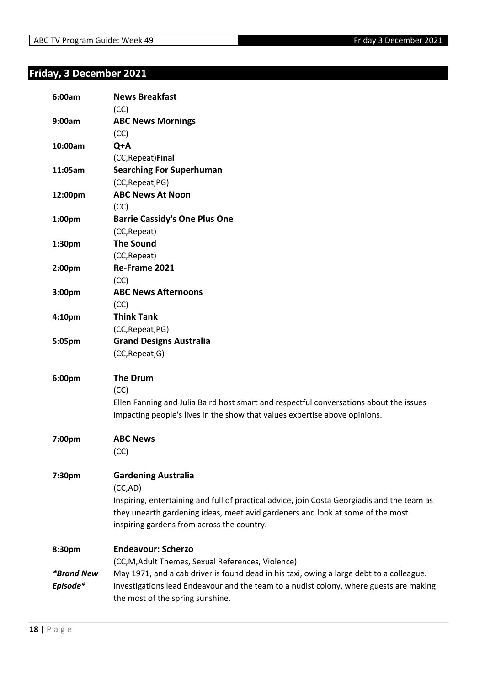## <span id="page-17-0"></span>**Friday, 3 December 2021**

| 6:00am                   | <b>News Breakfast</b><br>(CC)                                                                                              |
|--------------------------|----------------------------------------------------------------------------------------------------------------------------|
| 9:00am                   | <b>ABC News Mornings</b>                                                                                                   |
|                          | (CC)                                                                                                                       |
| 10:00am                  | Q+A                                                                                                                        |
|                          | (CC, Repeat) Final                                                                                                         |
| 11:05am                  | <b>Searching For Superhuman</b>                                                                                            |
|                          | (CC, Repeat, PG)                                                                                                           |
| 12:00pm                  | <b>ABC News At Noon</b>                                                                                                    |
|                          | (CC)                                                                                                                       |
| 1:00pm                   | <b>Barrie Cassidy's One Plus One</b>                                                                                       |
|                          | (CC, Repeat)                                                                                                               |
| 1:30pm                   | <b>The Sound</b>                                                                                                           |
|                          | (CC, Repeat)                                                                                                               |
| 2:00pm                   | Re-Frame 2021                                                                                                              |
|                          | (CC)                                                                                                                       |
| 3:00 <sub>pm</sub>       | <b>ABC News Afternoons</b>                                                                                                 |
|                          | (CC)                                                                                                                       |
| 4:10 <sub>pm</sub>       | <b>Think Tank</b>                                                                                                          |
|                          | (CC, Repeat, PG)                                                                                                           |
| 5:05pm                   | <b>Grand Designs Australia</b>                                                                                             |
|                          | (CC, Repeat, G)                                                                                                            |
|                          |                                                                                                                            |
| 6:00pm                   | <b>The Drum</b>                                                                                                            |
|                          | (CC)                                                                                                                       |
|                          | Ellen Fanning and Julia Baird host smart and respectful conversations about the issues                                     |
|                          | impacting people's lives in the show that values expertise above opinions.                                                 |
|                          |                                                                                                                            |
| 7:00pm                   | <b>ABC News</b>                                                                                                            |
|                          | (CC)                                                                                                                       |
|                          |                                                                                                                            |
| 7:30pm                   | <b>Gardening Australia</b>                                                                                                 |
|                          | (CC,AD)                                                                                                                    |
|                          | Inspiring, entertaining and full of practical advice, join Costa Georgiadis and the team as                                |
|                          | they unearth gardening ideas, meet avid gardeners and look at some of the most                                             |
|                          | inspiring gardens from across the country.                                                                                 |
|                          | <b>Endeavour: Scherzo</b>                                                                                                  |
| 8:30pm                   |                                                                                                                            |
| <i><b>*Brand New</b></i> | (CC, M, Adult Themes, Sexual References, Violence)                                                                         |
|                          | May 1971, and a cab driver is found dead in his taxi, owing a large debt to a colleague.                                   |
|                          |                                                                                                                            |
| Episode*                 | Investigations lead Endeavour and the team to a nudist colony, where guests are making<br>the most of the spring sunshine. |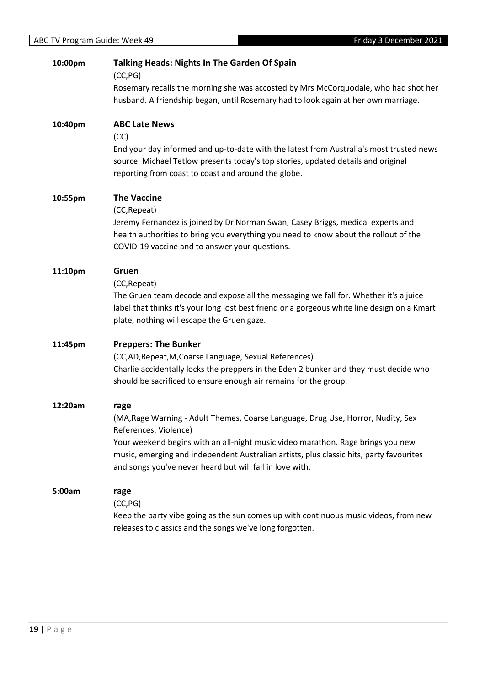| 10:00pm | <b>Talking Heads: Nights In The Garden Of Spain</b>                                                                                                                                                                                                                                                                                                         |
|---------|-------------------------------------------------------------------------------------------------------------------------------------------------------------------------------------------------------------------------------------------------------------------------------------------------------------------------------------------------------------|
|         | (CC, PG)<br>Rosemary recalls the morning she was accosted by Mrs McCorquodale, who had shot her<br>husband. A friendship began, until Rosemary had to look again at her own marriage.                                                                                                                                                                       |
| 10:40pm | <b>ABC Late News</b>                                                                                                                                                                                                                                                                                                                                        |
|         | (CC)<br>End your day informed and up-to-date with the latest from Australia's most trusted news<br>source. Michael Tetlow presents today's top stories, updated details and original<br>reporting from coast to coast and around the globe.                                                                                                                 |
| 10:55pm | <b>The Vaccine</b><br>(CC, Repeat)<br>Jeremy Fernandez is joined by Dr Norman Swan, Casey Briggs, medical experts and<br>health authorities to bring you everything you need to know about the rollout of the<br>COVID-19 vaccine and to answer your questions.                                                                                             |
| 11:10pm | Gruen<br>(CC, Repeat)<br>The Gruen team decode and expose all the messaging we fall for. Whether it's a juice<br>label that thinks it's your long lost best friend or a gorgeous white line design on a Kmart<br>plate, nothing will escape the Gruen gaze.                                                                                                 |
| 11:45pm | <b>Preppers: The Bunker</b><br>(CC,AD, Repeat, M, Coarse Language, Sexual References)<br>Charlie accidentally locks the preppers in the Eden 2 bunker and they must decide who<br>should be sacrificed to ensure enough air remains for the group.                                                                                                          |
| 12:20am | rage<br>(MA, Rage Warning - Adult Themes, Coarse Language, Drug Use, Horror, Nudity, Sex<br>References, Violence)<br>Your weekend begins with an all-night music video marathon. Rage brings you new<br>music, emerging and independent Australian artists, plus classic hits, party favourites<br>and songs you've never heard but will fall in love with. |
| 5:00am  | rage<br>(CC, PG)<br>Keep the party vibe going as the sun comes up with continuous music videos, from new<br>releases to classics and the songs we've long forgotten.                                                                                                                                                                                        |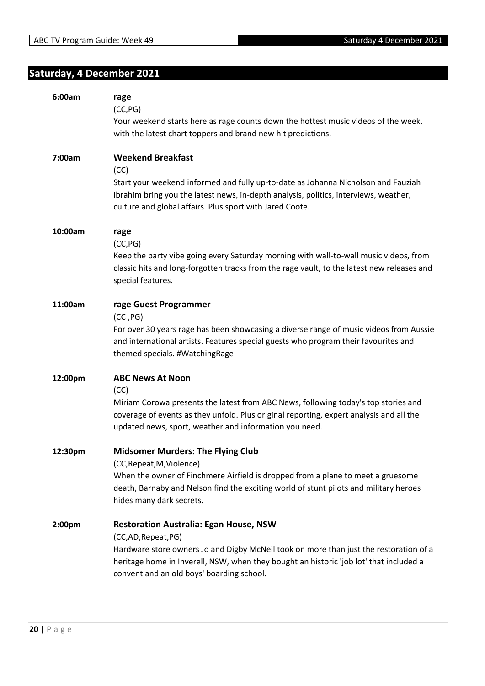## <span id="page-19-0"></span>**Saturday, 4 December 2021**

| 6:00am  | rage<br>(CC, PG)<br>Your weekend starts here as rage counts down the hottest music videos of the week,                                                                                                                                  |
|---------|-----------------------------------------------------------------------------------------------------------------------------------------------------------------------------------------------------------------------------------------|
|         | with the latest chart toppers and brand new hit predictions.                                                                                                                                                                            |
| 7:00am  | <b>Weekend Breakfast</b><br>(CC)                                                                                                                                                                                                        |
|         | Start your weekend informed and fully up-to-date as Johanna Nicholson and Fauziah<br>Ibrahim bring you the latest news, in-depth analysis, politics, interviews, weather,<br>culture and global affairs. Plus sport with Jared Coote.   |
| 10:00am | rage<br>(CC, PG)                                                                                                                                                                                                                        |
|         | Keep the party vibe going every Saturday morning with wall-to-wall music videos, from<br>classic hits and long-forgotten tracks from the rage vault, to the latest new releases and<br>special features.                                |
| 11:00am | rage Guest Programmer<br>(CC, PG)                                                                                                                                                                                                       |
|         | For over 30 years rage has been showcasing a diverse range of music videos from Aussie<br>and international artists. Features special guests who program their favourites and<br>themed specials. #WatchingRage                         |
| 12:00pm | <b>ABC News At Noon</b><br>(CC)                                                                                                                                                                                                         |
|         | Miriam Corowa presents the latest from ABC News, following today's top stories and<br>coverage of events as they unfold. Plus original reporting, expert analysis and all the<br>updated news, sport, weather and information you need. |
| 12:30pm | <b>Midsomer Murders: The Flying Club</b><br>(CC, Repeat, M, Violence)                                                                                                                                                                   |
|         | When the owner of Finchmere Airfield is dropped from a plane to meet a gruesome<br>death, Barnaby and Nelson find the exciting world of stunt pilots and military heroes<br>hides many dark secrets.                                    |
| 2:00pm  | <b>Restoration Australia: Egan House, NSW</b><br>(CC,AD, Repeat, PG)                                                                                                                                                                    |
|         | Hardware store owners Jo and Digby McNeil took on more than just the restoration of a<br>heritage home in Inverell, NSW, when they bought an historic 'job lot' that included a<br>convent and an old boys' boarding school.            |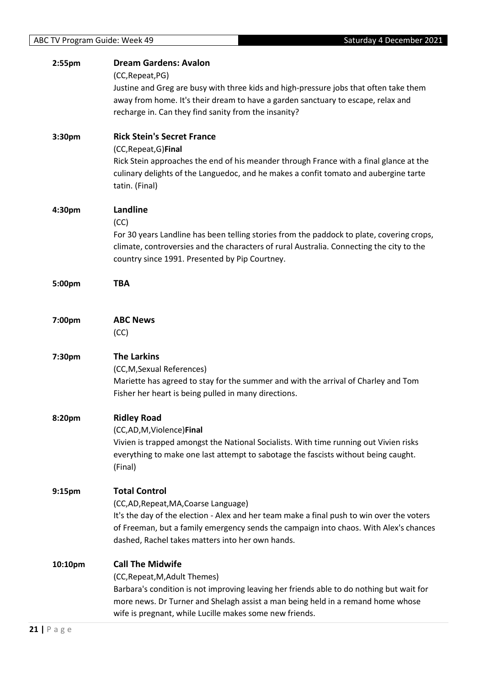| 2:55pm             | <b>Dream Gardens: Avalon</b><br>(CC, Repeat, PG)<br>Justine and Greg are busy with three kids and high-pressure jobs that often take them<br>away from home. It's their dream to have a garden sanctuary to escape, relax and<br>recharge in. Can they find sanity from the insanity?                  |
|--------------------|--------------------------------------------------------------------------------------------------------------------------------------------------------------------------------------------------------------------------------------------------------------------------------------------------------|
| 3:30pm             | <b>Rick Stein's Secret France</b><br>(CC, Repeat, G) Final<br>Rick Stein approaches the end of his meander through France with a final glance at the<br>culinary delights of the Languedoc, and he makes a confit tomato and aubergine tarte<br>tatin. (Final)                                         |
| 4:30pm             | Landline<br>(CC)<br>For 30 years Landline has been telling stories from the paddock to plate, covering crops,<br>climate, controversies and the characters of rural Australia. Connecting the city to the<br>country since 1991. Presented by Pip Courtney.                                            |
| 5:00pm             | <b>TBA</b>                                                                                                                                                                                                                                                                                             |
| 7:00pm             | <b>ABC News</b><br>(CC)                                                                                                                                                                                                                                                                                |
| 7:30pm             | <b>The Larkins</b><br>(CC,M,Sexual References)<br>Mariette has agreed to stay for the summer and with the arrival of Charley and Tom<br>Fisher her heart is being pulled in many directions.                                                                                                           |
| 8:20pm             | <b>Ridley Road</b><br>(CC,AD,M,Violence)Final<br>Vivien is trapped amongst the National Socialists. With time running out Vivien risks<br>everything to make one last attempt to sabotage the fascists without being caught.<br>(Final)                                                                |
| 9:15 <sub>pm</sub> | <b>Total Control</b><br>(CC,AD, Repeat, MA, Coarse Language)<br>It's the day of the election - Alex and her team make a final push to win over the voters<br>of Freeman, but a family emergency sends the campaign into chaos. With Alex's chances<br>dashed, Rachel takes matters into her own hands. |
| 10:10pm            | <b>Call The Midwife</b><br>(CC, Repeat, M, Adult Themes)<br>Barbara's condition is not improving leaving her friends able to do nothing but wait for<br>more news. Dr Turner and Shelagh assist a man being held in a remand home whose<br>wife is pregnant, while Lucille makes some new friends.     |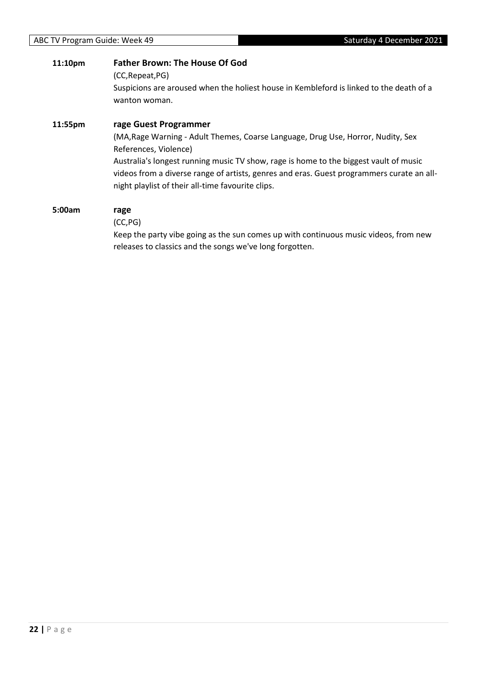| 11:10pm | <b>Father Brown: The House Of God</b><br>(CC, Repeat, PG)                                                                                                                                                                                                                                                                                                                     |  |
|---------|-------------------------------------------------------------------------------------------------------------------------------------------------------------------------------------------------------------------------------------------------------------------------------------------------------------------------------------------------------------------------------|--|
|         | Suspicions are aroused when the holiest house in Kembleford is linked to the death of a<br>wanton woman.                                                                                                                                                                                                                                                                      |  |
| 11:55pm | rage Guest Programmer<br>(MA, Rage Warning - Adult Themes, Coarse Language, Drug Use, Horror, Nudity, Sex<br>References, Violence)<br>Australia's longest running music TV show, rage is home to the biggest vault of music<br>videos from a diverse range of artists, genres and eras. Guest programmers curate an all-<br>night playlist of their all-time favourite clips. |  |
| 5:00am  | rage<br>(CC, PG)                                                                                                                                                                                                                                                                                                                                                              |  |

Keep the party vibe going as the sun comes up with continuous music videos, from new releases to classics and the songs we've long forgotten.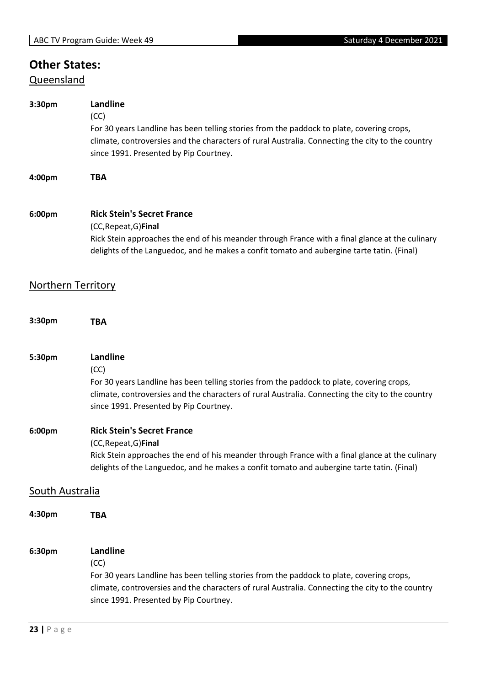# **Other States:**

## **Queensland**

| 3:30pm                 | Landline<br>(CC)<br>For 30 years Landline has been telling stories from the paddock to plate, covering crops,<br>climate, controversies and the characters of rural Australia. Connecting the city to the country<br>since 1991. Presented by Pip Courtney. |  |  |
|------------------------|-------------------------------------------------------------------------------------------------------------------------------------------------------------------------------------------------------------------------------------------------------------|--|--|
| 4:00pm                 | <b>TBA</b>                                                                                                                                                                                                                                                  |  |  |
| 6:00pm                 | <b>Rick Stein's Secret France</b><br>(CC, Repeat, G) Final<br>Rick Stein approaches the end of his meander through France with a final glance at the culinary<br>delights of the Languedoc, and he makes a confit tomato and aubergine tarte tatin. (Final) |  |  |
|                        | <b>Northern Territory</b>                                                                                                                                                                                                                                   |  |  |
| 3:30pm                 | <b>TBA</b>                                                                                                                                                                                                                                                  |  |  |
| 5:30pm                 | Landline<br>(CC)<br>For 30 years Landline has been telling stories from the paddock to plate, covering crops,<br>climate, controversies and the characters of rural Australia. Connecting the city to the country<br>since 1991. Presented by Pip Courtney. |  |  |
| 6:00pm                 | <b>Rick Stein's Secret France</b><br>(CC, Repeat, G) Final<br>Rick Stein approaches the end of his meander through France with a final glance at the culinary<br>delights of the Languedoc, and he makes a confit tomato and aubergine tarte tatin. (Final) |  |  |
| <b>South Australia</b> |                                                                                                                                                                                                                                                             |  |  |
| 4:30pm                 | <b>TBA</b>                                                                                                                                                                                                                                                  |  |  |
| 6:30pm                 | Landline<br>(CC)<br>For 30 years Landline has been telling stories from the paddock to plate, covering crops,<br>climate, controversies and the characters of rural Australia. Connecting the city to the country<br>since 1991. Presented by Pip Courtney. |  |  |